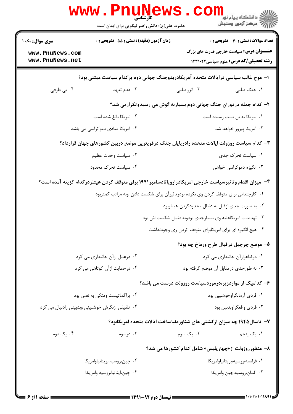| W W W                                                                                                  | ا <b>1117.</b><br>كارشناسي<br>حضرت علی(ع): دانش راهبر نیکویی برای ایمان است | دانشگاه پيام نو <mark>ر </mark> $\ge$<br>بَ ۖ مرڪز آزمون وسنڊش                            |  |  |
|--------------------------------------------------------------------------------------------------------|-----------------------------------------------------------------------------|-------------------------------------------------------------------------------------------|--|--|
| <b>سری سوال :</b> یک ۱                                                                                 | زمان آزمون (دقیقه) : تستی : 55 گشریحی : 0                                   | <b>تعداد سوالات : تستی : 40 قشریحی : 0</b>                                                |  |  |
| www.PnuNews.com<br>www.PnuNews.net                                                                     |                                                                             | <b>عنــــوان درس:</b> سیاست خارجی قدرت های بزرگ<br>رشته تحصیلی/کد درس: علوم سیاسی ۱۲۳۱۰۲۲ |  |  |
| ا– موج غالب سیاسی درایالات متحده آمریکادربدوجنگ جهانی دوم برکدام سیاست مبتنی بود؟                      |                                                                             |                                                                                           |  |  |
| ۰۴ بی طرفی                                                                                             | ۰۳ عدم تعهد                                                                 | ۰۱ جنگ طلبی<br>۰۲ انزواطلبی                                                               |  |  |
|                                                                                                        |                                                                             | ۲- کدام جمله دردوران جنگ جهانی دوم بسیاربه گوش می رسیدوتکرارمی شد؟                        |  |  |
|                                                                                                        | ٢. امريكا بالغ شده است                                                      | ۰۱ امریکا به بن بست رسیده است                                                             |  |  |
| ۰۴ امریکا منادی دموکراسی می باشد                                                                       |                                                                             | ۰۳ آمریکا پیروز خواهد شد                                                                  |  |  |
| ۳- کدام سیاست روزولت ایالات متحده رادرپایان جنگ درقویترین موضع دربین کشورهای جهان قرارداد؟             |                                                                             |                                                                                           |  |  |
|                                                                                                        | ۰۲ سیاست وحدت عظیم                                                          | ۰۱ سیاست تحرک جدی                                                                         |  |  |
|                                                                                                        | ۰۴ سیاست تحرک محدود                                                         | ۰۳ انگیزه دموکراسی خواهی                                                                  |  |  |
| ۴– میزان اقدام وتاثیرسیاست خارجی امریکادراروپاتادسامبر۱۹۴۱ برای متوقف کردن هیتلردرکدام گزینه آمده است؟ |                                                                             |                                                                                           |  |  |
|                                                                                                        |                                                                             | ۰۱ کارچندانی برای متوقف کردن وی نکرده بودوتاثیرآن برای شکست دادن اوبه مراتب کمتربود       |  |  |
|                                                                                                        |                                                                             | ۰۲ به صورت جدی ازقبل به دنبال محدودکردن هیتلربود                                          |  |  |
|                                                                                                        |                                                                             | ۰۳ تهدیدات امریکاعلیه وی بسیارجدی بودوبه دنبال شکست اش بود                                |  |  |
|                                                                                                        | ۰۴ هیچ انگیزه ای برای امریکابرای متوقف کردن وی وجودنداشت                    |                                                                                           |  |  |
|                                                                                                        |                                                                             | ۵- موضع چرچیل درقبال طرح ورماخ چه بود؟                                                    |  |  |
|                                                                                                        | ۰۲ درعمل ازآن جانبداری می کرد                                               | ٠١ درظاهرازآن جانبداري مي كرد                                                             |  |  |
|                                                                                                        | ۰۴ درحمایت ازآن کوتاهی می کرد                                               | ۰۳ به طورجدی درمقابل آن موضع گرفته بود                                                    |  |  |
|                                                                                                        |                                                                             | ۶– کدامیک از مواردزیر،درموردسیاست روزولت درست می باشد؟                                    |  |  |
|                                                                                                        | ۰۲ پراگماتیست ومتکی به نفس بود                                              | ٠١ فردى آرمانگراوخوشبين بود                                                               |  |  |
| ۰۴ تلفیقی ازنگرش خوشبینی وبدبینی رادنبال می کرد                                                        |                                                                             | ۰۳ فردي واقعگراوبدبين بود                                                                 |  |  |
|                                                                                                        |                                                                             | ۷- تاسال۱۹۴۵ چه میزان ازکشتی های شناوردنیاساخت ایالات متحده امریکابود؟                    |  |  |
| ۰۴ یک دوم                                                                                              | ۰۳ دوسوم                                                                    | ۰۲ یک سوم<br>۰۱ یک پنجم                                                                   |  |  |
|                                                                                                        |                                                                             | ٨- منظورروزولت از«چهارپلیس» شامل کدام کشورها می شد؟                                       |  |  |
|                                                                                                        | ۰۲ چین،روسیه،بریتانیاوامریکا                                                | ٠١ فرانسه،روسيه،بريتانياوامريكا                                                           |  |  |
|                                                                                                        | ۰۴ چین،ایتالیا،روسیه وامریکا                                                | ۰۳ آلمان،روسيه،چين وامريكا                                                                |  |  |
|                                                                                                        |                                                                             |                                                                                           |  |  |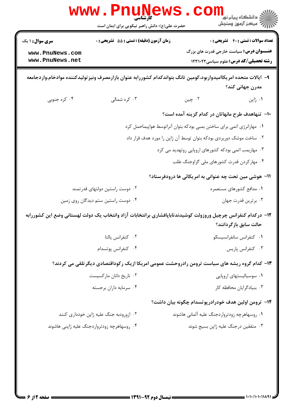| <b>WWW</b>                                                                                                                            | حضرت علی(ع): دانش راهبر نیکویی برای ایمان است | د دانشڪاه پيام نو <mark>ر</mark><br>ج⊃مرڪز آزمون وسنڊش                                                                                          |  |  |
|---------------------------------------------------------------------------------------------------------------------------------------|-----------------------------------------------|-------------------------------------------------------------------------------------------------------------------------------------------------|--|--|
| <b>سری سوال : ۱ یک</b><br>www.PnuNews.com<br>www.PnuNews.net                                                                          | زمان آزمون (دقیقه) : تستی : 55 آتشریحی : 0    | <b>تعداد سوالات : تستي : 40 ٪ تشريحي : 0</b><br><b>عنــــوان درس:</b> سیاست خارجی قدرت های بزرگ<br><b>رشته تحصیلی/کد درس:</b> علوم سیاسی1۲۳۱۰۲۲ |  |  |
|                                                                                                                                       |                                               | ۹– ایالات متحده امریکاامیدواربود،کومین تانگ بتواندکدام کشوررابه عنوان بازارمصرف ونیز تولیدکننده موادخام،واردجامعه<br>مدرن جهانی کند؟            |  |  |
| ۰۴ کره جنوبی                                                                                                                          | ۰۳ کره شمالی                                  | ۰۲ چين<br>۰۱ ژاپن                                                                                                                               |  |  |
|                                                                                                                                       |                                               | ∙ا− تنهاهدف طرح مانهاتان در کدام گزینه آمده است؟                                                                                                |  |  |
|                                                                                                                                       |                                               | ۰۱ مهارانرژی اتمی برای ساختن بمبی بودکه بتوان آنراتوسط هواپیماحمل کرد                                                                           |  |  |
|                                                                                                                                       |                                               | ۰۲ ساخت موشک دوربردی بودکه بتوان توسط آن ژاپن را مورد هدف قرار داد                                                                              |  |  |
|                                                                                                                                       |                                               | ۰۳ مهاربمب اتمی بودکه کشورهای اروپایی روتهدید می کرد                                                                                            |  |  |
|                                                                                                                                       |                                               | ۰۴ مهارکردن قدرت کشورهای ملی گراوجنگ طلب                                                                                                        |  |  |
|                                                                                                                                       |                                               | 11– هوشی مین تحت چه عنوانی به امریکائی ها درودفرستاد؟                                                                                           |  |  |
| ۰۲ دوست راستین دولتهای قدرتمند                                                                                                        |                                               | ۰۱ مدافع کشورهای مستعمره                                                                                                                        |  |  |
| ۰۴ دوست راستین ستم دیدگان روی زمین                                                                                                    |                                               | ۰۳ برترین قدرت جهان                                                                                                                             |  |  |
| ۱۲– درکدام کنفرانس چرچیل وروزولت کوشیدندتاباپافشاری برانتخابات آزاد وانتخاب یک دولت لهستانی وضع این کشوررابه<br>حالت سابق بازگردانند؟ |                                               |                                                                                                                                                 |  |  |
|                                                                                                                                       | ۰۲ کنفرانس یالتا                              | ٠١ كنفرانس سانفرانسيسكو                                                                                                                         |  |  |
|                                                                                                                                       | ۰۴ كنفرانس پوتسدام                            | ۰۳ كنفرانس پاريس                                                                                                                                |  |  |
| ۱۳– کدام گروه ریشه های سیاست ترومن رادروحشت عمومی امریکا ازیک رکوداقتصادی دیگرتلقی می کردند؟                                          |                                               |                                                                                                                                                 |  |  |
|                                                                                                                                       | ۰۲ تاریخ دانان مارکسیست                       | ۰۱ سوسیالیستهای اروپایی                                                                                                                         |  |  |
|                                                                                                                                       | ۰۴ سرمایه داران برجسته                        | ۰۳ بنیادگرایان محافظه کار                                                                                                                       |  |  |
|                                                                                                                                       |                                               | ۱۴– ترومن اولین هدف خودرادرپوتسدام چگونه بیان داشت؟                                                                                             |  |  |
|                                                                                                                                       | ۰۲ ازورودبه جنگ علیه ژاپن خودداری کنند        | ۰۱ روسهاهرچه زودترواردجنگ عليه آلماني هاشوند                                                                                                    |  |  |
|                                                                                                                                       | ۰۴ روسهاهرچه زودترواردجنگ علیه ژاپنی هاشوند   | ۰۳ متفقین درجنگ علیه ژاپن بسیج شوند                                                                                                             |  |  |
|                                                                                                                                       |                                               |                                                                                                                                                 |  |  |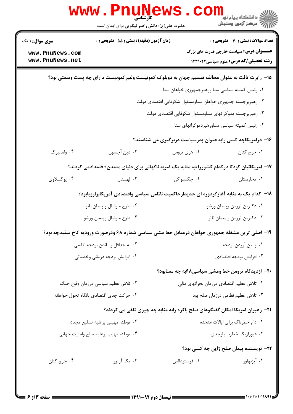| <b>تعداد سوالات : تستي : 40 ٪ تشريحي : 0</b>                                                   |                                    | زمان آزمون (دقیقه) : تستی : 55 تشریحی : 0 | <b>سری سوال : ۱ یک</b> |
|------------------------------------------------------------------------------------------------|------------------------------------|-------------------------------------------|------------------------|
| <b>عنــــوان درس:</b> سیاست خارجی قدرت های بزرگ                                                |                                    |                                           | www.PnuNews.com        |
| <b>رشته تحصیلی/کد درس:</b> علوم سیاسی ۱۲۳۱۰۲۲                                                  |                                    |                                           | www.PnuNews.net        |
| ۱۵− رابرت تافت به عنوان مخالف تقسیم جهان به دوبلوک کمونیست وغیرکمونیست دارای چه پست وسمتی بود؟ |                                    |                                           |                        |
| ٠١ رئيس كميته سياسي سنا ورهبرجمهوري خواهان سنا                                                 |                                    |                                           |                        |
| ۰۲ رهبربرجسته جمهوری خواهان سناومسئول شکوفایی اقتصادی دولت                                     |                                    |                                           |                        |
| ۰۳ رهبربرجسته دموكراتهاى سناومسئول شكوفايي اقتصادى دولت                                        |                                    |                                           |                        |
| ۰۴ رئیس کمیته سیاسی سناورهبردموکراتهای سنا                                                     |                                    |                                           |                        |
| ۱۶– درامریکاچه کسی رابه عنوان پدرسیاست دربرگیری می شناسند؟                                     |                                    |                                           |                        |
| ٠١. جرج كنان                                                                                   | ۰۲ هري ترومن                       | ۰۳ دین آچسون                              | ۰۴ واندنبرگ            |
| ۱۷– امریکائیان کودتا درکدام کشوررا«به مثابه یک ضربه ناگهانی برای دنیای متمدن» قلمدادمی کردند؟  |                                    |                                           |                        |
| ٠١ مجارستان                                                                                    | ۰۲ چکسلواکی                        | ۰۳ لهستان                                 | ۰۴ يوگسلاوي            |
| ۱۸– کدام یک به مثابه آغازگردوره ای جدیدازحاکمیت نظامی،سیاسی واقتصادی آمریکابراروپابود؟         |                                    |                                           |                        |
| ۰۱ دکترین ترومن وپیمان ورشو                                                                    |                                    | ۰۲ طرح مارشال و پیمان ناتو                |                        |
| ۰۳ دکترین ترومن و پیمان ناتو                                                                   |                                    | ۰۴ طرح مارشال وپیمان ورشو                 |                        |
| ۱۹- اصلی ترین مشغله جمهوری خواهان درمقابل خط مشی سیاسی شماره ۶۸ ودرصورت ورودبه کاخ سفیدچه بود؟ |                                    |                                           |                        |
| ٠١. پايين آوردن بودجه                                                                          |                                    | ۰۲ به حداقل رساندن بودجه نظامی            |                        |
| ٠٣ افزايش بودجه اقتصادى                                                                        | ۰۴ افزایش بودجه درمانی وخدماتی     |                                           |                        |
| ۲۰– ازدیدگاه ترومن خط ومشی سیاسی۸۶به چه معنابود؟                                               |                                    |                                           |                        |
| ٠١ تلاش عظيم اقتصادي درزمان بحرانهاي مالي                                                      | ۰۲ تلاش عظیم سیاسی درزمان وقوع جنگ |                                           |                        |
| ۰۳ تلاش عظیم نظامی درزمان صلح بود                                                              |                                    | ۰۴ حركت جدى اقتصادى بانگاه تحول خواهانه   |                        |
| <b>۲۱</b> - رهبران امریکا امکان گفتگوهای صلح باکره رابه مثابه چه چیزی تلقی می کردند؟           |                                    |                                           |                        |
| ۰۱ دام خطرناک برای ایالات متحده                                                                |                                    | ۰۲ توطئه مهيبي برعليه تسليح مجدد          |                        |
| ۰۳ عبورازیک خطربسیارجدی                                                                        |                                    | ۰۴ توطئه مهيب برعليه صلح وامنيت جهاني     |                        |
| <b>۲۲</b> - نویسنده پیمان صلح ژاپن چه کسی بود؟                                                 |                                    |                                           |                        |
| ۰۱ آیزنهاور                                                                                    | ۰۲ فوستردالس                       | ۰۳ مک آرتور                               | ۰۴ جرج کنان            |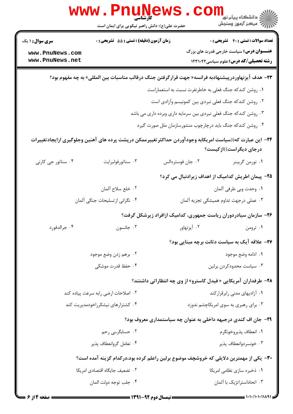|                                                                                       | <b>www.Pnunew</b><br>حضرت علی(ع): دانش راهبر نیکویی برای ایمان است                                              |                  | لا<br>انشگاه پيام نور<br>پرکز آزمون وسنجش                                                        |
|---------------------------------------------------------------------------------------|-----------------------------------------------------------------------------------------------------------------|------------------|--------------------------------------------------------------------------------------------------|
| <b>سری سوال : ۱ یک</b>                                                                | زمان آزمون (دقيقه) : تستى : 55 آتشريحى : 0                                                                      |                  | <b>تعداد سوالات : تستی : 40 قشریحی : 0</b>                                                       |
| www.PnuNews.com<br>www.PnuNews.net                                                    |                                                                                                                 |                  | <b>عنــــوان درس:</b> سیاست خارجی قدرت های بزرگ<br><b>رشته تحصیلی/کد درس:</b> علوم سیاسی ۱۲۳۱۰۲۲ |
|                                                                                       | <mark>۳۳</mark> – هدف آیزنهاوردرپیشنهادبه فرانسه« جهت قرارگرفتن جنگ درقالب مناسبات بین المللی» به چه مفهوم بود؟ |                  |                                                                                                  |
|                                                                                       |                                                                                                                 |                  | ۰۱ روشن کندکه جنگ فعلی به خاطرنفرت نسبت به استعماراست                                            |
|                                                                                       |                                                                                                                 |                  | ۰۲ روشن کندکه جنگ فعلی نبردی بین کمونیسم وأزادی است                                              |
|                                                                                       |                                                                                                                 |                  | ۰۳ روشن کندکه جنگ فعلی نبردی بین سرمایه داری وبرده داری می باشد                                  |
|                                                                                       |                                                                                                                 |                  | ۰۴ روشن کندکه جنگ باید درچارچوب منشورسازمان ملل صورت گیرد                                        |
|                                                                                       | ۲۴– این عبارت که((سیاست امریکابه وجودآوردن حداکثرتغییرممکن درپشت پرده های آهنین وجلوگیری ازایجادتغییرات         |                  | درجای دیگراست))ازکیست؟                                                                           |
| ۰۴ سناتور جي کارني                                                                    | ۰۳ سناتورفولبرايت                                                                                               | ۰۲ جان فوستردالس | ۰۱ نورمن گريبنر                                                                                  |
|                                                                                       |                                                                                                                 |                  | ۲۵– پیمان اطریش کدامیک از اهداف زیرادنبال می کرد؟                                                |
|                                                                                       | ٠٢ خلع سلاح ألمان                                                                                               |                  | ٠١. وحدت وبي طرفي ألمان                                                                          |
|                                                                                       | ۰۴ نگرانی از تسلیحات جنگی آلمان                                                                                 |                  | ۰۳ عملی درجهت تداوم همیشگی تجزیه آلمان                                                           |
|                                                                                       |                                                                                                                 |                  | ۲۶– سازمان سیادردوران ریاست جمهوری، کدامیک ازافراد زیرشکل گرفت؟                                  |
| ۰۴ جرالدفورد                                                                          | جانسون $\cdot$ ۳ .                                                                                              |                  |                                                                                                  |
|                                                                                       |                                                                                                                 |                  | <b>۲۷-</b> علاقه آیک به سیاست دتانت برچه مبنایی بود؟                                             |
|                                                                                       | ۰۲ برهم زدن وضع موجود                                                                                           |                  | ٠١. ادامه وضع موجود                                                                              |
|                                                                                       | ۰۴ حفظ قدرت موشکی                                                                                               |                  | ۰۳ سیاست محدودکردن برلین                                                                         |
|                                                                                       |                                                                                                                 |                  | <b>۲۸</b> – طرفداران آمریکایی « فیدل کاسترو» از وی چه انتظاراتی داشتند؟                          |
|                                                                                       | ۰۲ اصلاحات ارضی رابه سرعت پیاده کند                                                                             |                  | ۰۱ آزادیهای مدنی رابرقرارکند                                                                     |
|                                                                                       | ۰۴ کشتزارهای نیشکرراخودمدیریت کند                                                                               |                  | ۰۳ برای رهبری به سوی امریکاچشم ندوزد                                                             |
|                                                                                       |                                                                                                                 |                  | ۲۹- جان اف کندی درجبهه داخلی به عنوان چه سیاستمداری معروف بود؟                                   |
|                                                                                       | ۰۲ حسابگر،بی رحم                                                                                                |                  | ٠١. انعطاف پذيروخونگرم                                                                           |
|                                                                                       | ۰۴ تعامل گروانعطاف پذیر                                                                                         |                  | ۰۳ خونسر دوانعطاف پذیر                                                                           |
| ۳۰– یکی از مهمترین دلایلی که خروشچف موضوع برلین راعلم کرده بود،درکدام گزینه آمده است؟ |                                                                                                                 |                  |                                                                                                  |
|                                                                                       | ٠٢ تضعيف جايگاه اقتصادى امريكا                                                                                  |                  | ۰۱ ذخیره سازی نظامی امریکا                                                                       |
|                                                                                       | ۰۴ جلب توجه دولت المان                                                                                          |                  | ۰۳ اتحاداستراتژیک با آلمان                                                                       |

 $= 1.1 - (1.111114)$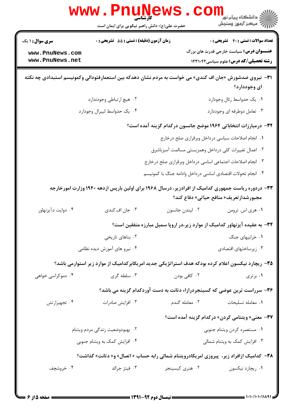|                                                           | حضرت علی(ع): دانش راهبر نیکویی برای ایمان است | الاد دانشگاه پيام نور<br>الاه مرکز آزمون وسنجش                                                                                               |              |  |
|-----------------------------------------------------------|-----------------------------------------------|----------------------------------------------------------------------------------------------------------------------------------------------|--------------|--|
| <b>سری سوال : ۱ یک</b>                                    | زمان آزمون (دقیقه) : تستی : 55 آتشریحی : 0    | <b>تعداد سوالات : تستي : 40 ٪ تشريحي : 0</b>                                                                                                 |              |  |
| www.PnuNews.com<br>www.PnuNews.net                        |                                               | <b>عنــــوان درس:</b> سیاست خارجی قدرت های بزرگ<br><b>رشته تحصیلی/کد درس:</b> علوم سیاسی ۱۲۳۱۰۲۲                                             |              |  |
|                                                           |                                               | ۳۱− نیروی ضدشورش «جان اف کندی» می خواست به مردم نشان دهدکه بین استعمارفئودالی وکمونیسم استبدادی چه نکته                                      | ای وجوددارد؟ |  |
|                                                           | ٢. هيچ ارتباطي وجودندارد                      | ۰۱ یک حدواسط رئال وجودارد                                                                                                                    |              |  |
|                                                           | ۰۴ يک حدواسط ليبرال وجودارد                   | ۰۳ تعامل دوطرفه ای وجوددارد                                                                                                                  |              |  |
|                                                           |                                               | ۳۲– درمبارزات انتخاباتی ۱۹۶۴ موضع جانسون درکدام گزینه آمده است؟                                                                              |              |  |
|                                                           |                                               | ٠١. انجام اصلاحات سياسي درداخل وبرقراري صلح درخارج                                                                                           |              |  |
|                                                           |                                               | ۰۲ اعمال تغییرات کلی درداخل وهمزیستی مسالمت آمیزباشرق                                                                                        |              |  |
| ۰۳ انجام اصلاحات اجتماعی اساسی درداخل وبرقراری صلح درخارج |                                               |                                                                                                                                              |              |  |
|                                                           |                                               | ۰۴ انجام تحولات اقتصادى اساسى درداخل وادامه جنگ با كمونيسم                                                                                   |              |  |
|                                                           |                                               | ۳۳- دردوره ریاست جمهوری کدامیک از افرادزیر، درسال ۱۹۶۸ برای اولین بارپس ازدهه ۱۹۴۰ وزارت امورخارجه<br>مجبورشدازتعريف« منافع حياتي» دفاع كند؟ |              |  |
| ۰۴ دوایت د.آیزنهاور                                       | ۰۳ جان اف.کندی                                | ٠٢ ليندن جانسون<br>٠١ هري اس. ترومن                                                                                                          |              |  |
|                                                           |                                               | ۳۴- به عقیده آیزنهاور کدامیک از موارد زیر،در اروپا سمبل مبارزه متفقین است؟                                                                   |              |  |
|                                                           | ۰۲ بناهای تاریخی                              | ۰۱ خرابیهای جنگ                                                                                                                              |              |  |
|                                                           | ۰۴ نیرو های آموزش دیده نظامی                  | ۰۳ زیرساختهای اقتصادی                                                                                                                        |              |  |
|                                                           |                                               | ۳۵– ریچارد نیکسون اعلام کرده بودکه هدف استراتژیکی جدید امریکابرکدامیک از موارد زیر استوارمی باشد؟                                            |              |  |
| ۰۴ دموکراسی خواهی                                         | ۰۳ سلطه گری                                   | ۰۲ کافی بودن                                                                                                                                 | ۰۱ برتری     |  |
|                                                           |                                               | ۳۶- سرراست ترین عوضی که کسینجردرازاء دتانت به دست آوردکدام گزینه می باشد؟                                                                    |              |  |
| ۰۴ تجهیزارتش                                              | ۰۳ افزايش صادرات                              | ٠٢ معامله گندم<br>٠١ معامله تسليحات                                                                                                          |              |  |
|                                                           |                                               | <b>۳۷</b> - معنی« ویتنامی کردن» درکدام گزینه آمده است؟                                                                                       |              |  |
|                                                           | ۰۲ بهبودوضعيت زندگى مردم ويتنام               | ٠١ مستعمره كردن ويتنام جنوبي                                                                                                                 |              |  |
|                                                           | ۰۴ افزایش کمک به ویتنام جنوبی                 | ۰۳ افزایش کمک به ویتنام شمالی                                                                                                                |              |  |
|                                                           |                                               | <b>۳۸</b> - کدامیک ازافراد زیر، پیروزی امریکادرویتنام شمالی رابه حساب « اتصال» و« دتانت» گذاشت؟                                              |              |  |
|                                                           |                                               |                                                                                                                                              |              |  |